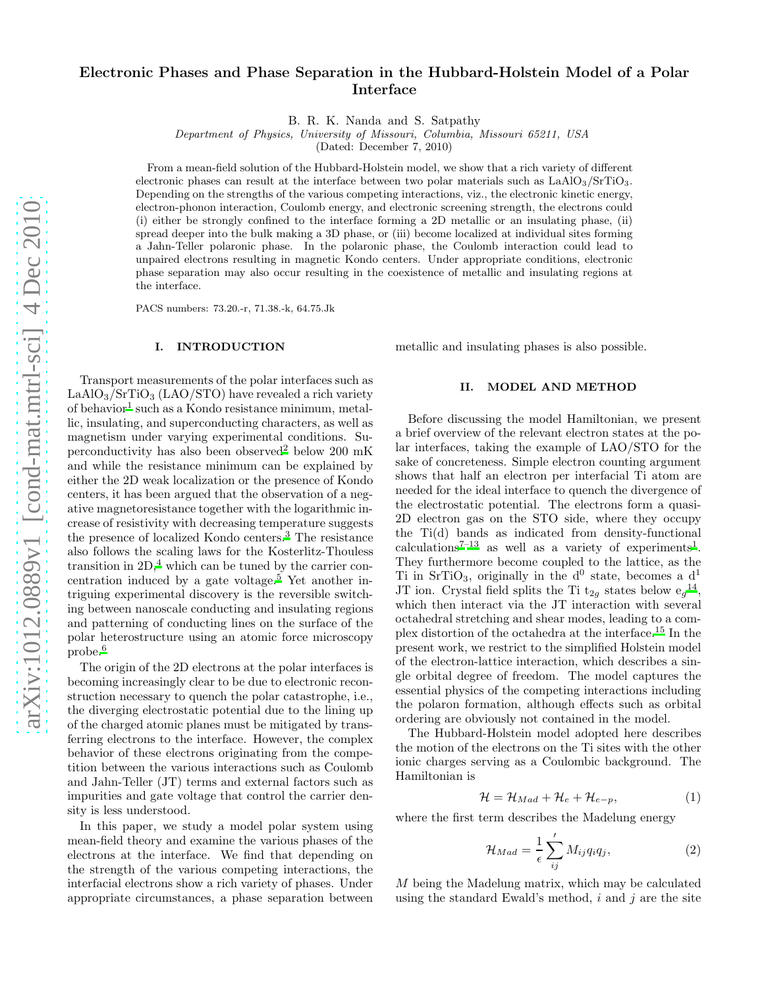# Electronic Phases and Phase Separation in the Hubbard-Holstein Model of a Polar Interface

B. R. K. Nanda and S. Satpathy

Department of Physics, University of Missouri, Columbia, Missouri 65211, USA

(Dated: December 7, 2010)

From a mean-field solution of the Hubbard-Holstein model, we show that a rich variety of different electronic phases can result at the interface between two polar materials such as  $LaAlO<sub>3</sub>/SrTiO<sub>3</sub>$ . Depending on the strengths of the various competing interactions, viz., the electronic kinetic energy, electron-phonon interaction, Coulomb energy, and electronic screening strength, the electrons could (i) either be strongly confined to the interface forming a 2D metallic or an insulating phase, (ii) spread deeper into the bulk making a 3D phase, or (iii) become localized at individual sites forming a Jahn-Teller polaronic phase. In the polaronic phase, the Coulomb interaction could lead to unpaired electrons resulting in magnetic Kondo centers. Under appropriate conditions, electronic phase separation may also occur resulting in the coexistence of metallic and insulating regions at the interface.

PACS numbers: 73.20.-r, 71.38.-k, 64.75.Jk

## I. INTRODUCTION

Transport measurements of the polar interfaces such as  $LaAlO<sub>3</sub>/SrTiO<sub>3</sub> (LAO/STO)$  have revealed a rich variety of behavior<sup>[1](#page-6-0)</sup> such as a Kondo resistance minimum, metallic, insulating, and superconducting characters, as well as magnetism under varying experimental conditions. Supercon[d](#page-6-1)uctivity has also been observed<sup>2</sup> below 200 mK and while the resistance minimum can be explained by either the 2D weak localization or the presence of Kondo centers, it has been argued that the observation of a negative magnetoresistance together with the logarithmic increase of resistivity with decreasing temperature suggests the presence of localized Kondo centers.[3](#page-6-2) The resistance also follows the scaling laws for the Kosterlitz-Thouless transition in  $2D<sup>4</sup>$  $2D<sup>4</sup>$  $2D<sup>4</sup>$  which can be tuned by the carrier con-centration induced by a gate voltage.<sup>[5](#page-6-4)</sup> Yet another intriguing experimental discovery is the reversible switching between nanoscale conducting and insulating regions and patterning of conducting lines on the surface of the polar heterostructure using an atomic force microscopy probe.[6](#page-6-5)

The origin of the 2D electrons at the polar interfaces is becoming increasingly clear to be due to electronic reconstruction necessary to quench the polar catastrophe, i.e., the diverging electrostatic potential due to the lining up of the charged atomic planes must be mitigated by transferring electrons to the interface. However, the complex behavior of these electrons originating from the competition between the various interactions such as Coulomb and Jahn-Teller (JT) terms and external factors such as impurities and gate voltage that control the carrier density is less understood.

In this paper, we study a model polar system using mean-field theory and examine the various phases of the electrons at the interface. We find that depending on the strength of the various competing interactions, the interfacial electrons show a rich variety of phases. Under appropriate circumstances, a phase separation between metallic and insulating phases is also possible.

#### II. MODEL AND METHOD

Before discussing the model Hamiltonian, we present a brief overview of the relevant electron states at the polar interfaces, taking the example of LAO/STO for the sake of concreteness. Simple electron counting argument shows that half an electron per interfacial Ti atom are needed for the ideal interface to quench the divergence of the electrostatic potential. The electrons form a quasi-2D electron gas on the STO side, where they occupy the Ti(d) bands as indicated from density-functional calculations<sup>[7](#page-6-6)-[1](#page-6-0)3</sup> as well as a variety of experiments<sup>1</sup>. They furthermore become coupled to the lattice, as the Ti in SrTiO<sub>3</sub>, originally in the  $d^0$  state, becomes a  $d^1$ JT ion. Crystal field splits the Ti  $t_{2g}$  states below  $e_g^{14}$  $e_g^{14}$  $e_g^{14}$ , which then interact via the JT interaction with several octahedral stretching and shear modes, leading to a complex distortion of the octahedra at the interface.[15](#page-6-9) In the present work, we restrict to the simplified Holstein model of the electron-lattice interaction, which describes a single orbital degree of freedom. The model captures the essential physics of the competing interactions including the polaron formation, although effects such as orbital ordering are obviously not contained in the model.

The Hubbard-Holstein model adopted here describes the motion of the electrons on the Ti sites with the other ionic charges serving as a Coulombic background. The Hamiltonian is

$$
\mathcal{H} = \mathcal{H}_{Mad} + \mathcal{H}_e + \mathcal{H}_{e-p},\tag{1}
$$

where the first term describes the Madelung energy

<span id="page-0-0"></span>
$$
\mathcal{H}_{Mad} = \frac{1}{\epsilon} \sum_{ij}^{\prime} M_{ij} q_i q_j, \qquad (2)
$$

M being the Madelung matrix, which may be calculated using the standard Ewald's method,  $i$  and  $j$  are the site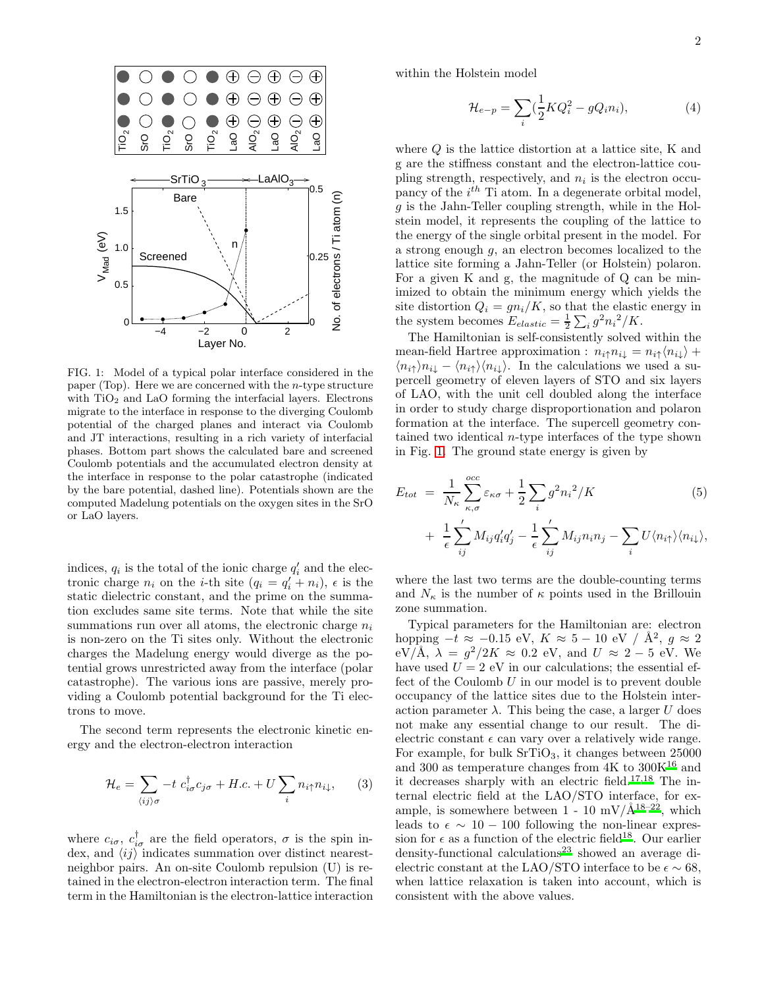

<span id="page-1-0"></span>FIG. 1: Model of a typical polar interface considered in the paper (Top). Here we are concerned with the *n*-type structure with  $TiO<sub>2</sub>$  and LaO forming the interfacial layers. Electrons migrate to the interface in response to the diverging Coulomb potential of the charged planes and interact via Coulomb and JT interactions, resulting in a rich variety of interfacial phases. Bottom part shows the calculated bare and screened Coulomb potentials and the accumulated electron density at the interface in response to the polar catastrophe (indicated by the bare potential, dashed line). Potentials shown are the computed Madelung potentials on the oxygen sites in the SrO or LaO layers.

indices,  $q_i$  is the total of the ionic charge  $q'_i$  and the electronic charge  $n_i$  on the *i*-th site  $(q_i = q'_i + n_i)$ ,  $\epsilon$  is the static dielectric constant, and the prime on the summation excludes same site terms. Note that while the site summations run over all atoms, the electronic charge  $n_i$ is non-zero on the Ti sites only. Without the electronic charges the Madelung energy would diverge as the potential grows unrestricted away from the interface (polar catastrophe). The various ions are passive, merely providing a Coulomb potential background for the Ti electrons to move.

The second term represents the electronic kinetic energy and the electron-electron interaction

$$
\mathcal{H}_e = \sum_{\langle ij \rangle \sigma} -t \ c_{i\sigma}^\dagger c_{j\sigma} + H.c. + U \sum_i n_{i\uparrow} n_{i\downarrow}, \qquad (3)
$$

where  $c_{i\sigma}$ ,  $c_{i\sigma}^{\dagger}$  are the field operators,  $\sigma$  is the spin index, and  $\langle ij \rangle$  indicates summation over distinct nearestneighbor pairs. An on-site Coulomb repulsion (U) is retained in the electron-electron interaction term. The final term in the Hamiltonian is the electron-lattice interaction within the Holstein model

$$
\mathcal{H}_{e-p} = \sum_{i} \left(\frac{1}{2} K Q_i^2 - g Q_i n_i\right),\tag{4}
$$

where  $Q$  is the lattice distortion at a lattice site, K and g are the stiffness constant and the electron-lattice coupling strength, respectively, and  $n_i$  is the electron occupancy of the  $i^{th}$  Ti atom. In a degenerate orbital model,  $g$  is the Jahn-Teller coupling strength, while in the Holstein model, it represents the coupling of the lattice to the energy of the single orbital present in the model. For a strong enough g, an electron becomes localized to the lattice site forming a Jahn-Teller (or Holstein) polaron. For a given K and g, the magnitude of Q can be minimized to obtain the minimum energy which yields the site distortion  $Q_i = gn_i/K$ , so that the elastic energy in the system becomes  $E_{elastic} = \frac{1}{2} \sum_{i} g^2 n_i^2 / K$ .

The Hamiltonian is self-consistently solved within the mean-field Hartree approximation :  $n_{i\uparrow}n_{i\downarrow} = n_{i\uparrow}\langle n_{i\downarrow}\rangle +$  $\langle n_{i\uparrow}\rangle n_{i\downarrow} - \langle n_{i\uparrow}\rangle \langle n_{i\downarrow}\rangle$ . In the calculations we used a supercell geometry of eleven layers of STO and six layers of LAO, with the unit cell doubled along the interface in order to study charge disproportionation and polaron formation at the interface. The supercell geometry contained two identical n-type interfaces of the type shown in Fig. [1.](#page-1-0) The ground state energy is given by

$$
E_{tot} = \frac{1}{N_{\kappa}} \sum_{\kappa,\sigma}^{occ} \varepsilon_{\kappa\sigma} + \frac{1}{2} \sum_{i} g^{2} n_{i}^{2} / K
$$
(5)  
+ 
$$
\frac{1}{\epsilon} \sum_{ij}^{\prime} M_{ij} q_{i}^{\prime} q_{j}^{\prime} - \frac{1}{\epsilon} \sum_{ij}^{\prime} M_{ij} n_{i} n_{j} - \sum_{i} U \langle n_{i\uparrow} \rangle \langle n_{i\downarrow} \rangle,
$$

where the last two terms are the double-counting terms and  $N_{\kappa}$  is the number of  $\kappa$  points used in the Brillouin zone summation.

Typical parameters for the Hamiltonian are: electron hopping  $-t \approx -0.15 \text{ eV}$ ,  $K \approx 5 - 10 \text{ eV} / \text{Å}^2$ ,  $g \approx 2$  $eV/\text{\AA}$ ,  $\lambda = g^2/2K \approx 0.2$  eV, and  $U \approx 2-5$  eV. We have used  $U = 2$  eV in our calculations; the essential effect of the Coulomb  $U$  in our model is to prevent double occupancy of the lattice sites due to the Holstein interaction parameter  $\lambda$ . This being the case, a larger U does not make any essential change to our result. The dielectric constant  $\epsilon$  can vary over a relatively wide range. For example, for bulk  $SrTiO<sub>3</sub>$ , it changes between 25000 and 300 as temperature changes from  $4K$  to  $300K^{16}$  $300K^{16}$  $300K^{16}$  and it decreases sharply with an electric field.<sup>[17](#page-6-11)[,18](#page-6-12)</sup> The internal electric field at the LAO/STO interface, for example, is somewhere between  $1 - 10$  mV/ $\AA$ <sup>[18](#page-6-12)[–22](#page-6-13)</sup>, which leads to  $\epsilon \sim 10 - 100$  following the non-linear expression for  $\epsilon$  as a function of the electric field<sup>[18](#page-6-12)</sup>. Our earlier den[s](#page-6-14)ity-functional calculations<sup>23</sup> showed an average dielectric constant at the LAO/STO interface to be  $\epsilon \sim 68$ , when lattice relaxation is taken into account, which is consistent with the above values.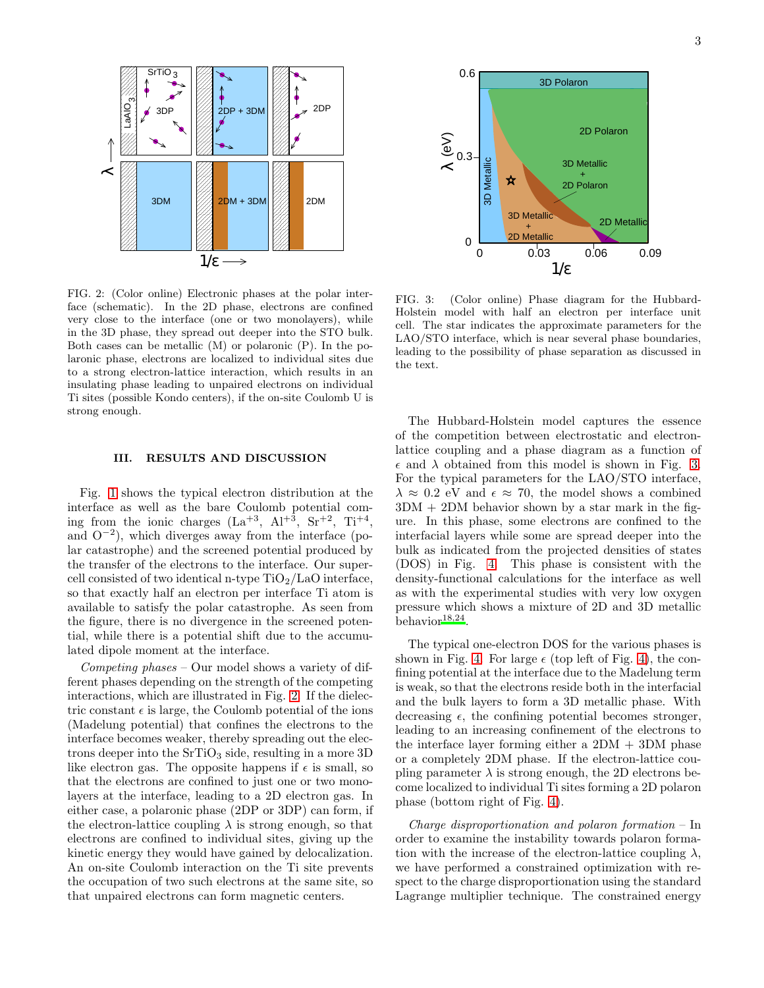

<span id="page-2-0"></span>FIG. 2: (Color online) Electronic phases at the polar interface (schematic). In the 2D phase, electrons are confined very close to the interface (one or two monolayers), while in the 3D phase, they spread out deeper into the STO bulk. Both cases can be metallic (M) or polaronic (P). In the polaronic phase, electrons are localized to individual sites due to a strong electron-lattice interaction, which results in an insulating phase leading to unpaired electrons on individual Ti sites (possible Kondo centers), if the on-site Coulomb U is strong enough.

#### III. RESULTS AND DISCUSSION

Fig. [1](#page-1-0) shows the typical electron distribution at the interface as well as the bare Coulomb potential coming from the ionic charges  $(La^{+3}, Al^{+3}, Sr^{+2}, Ti^{+4},$ and O<sup>−</sup><sup>2</sup> ), which diverges away from the interface (polar catastrophe) and the screened potential produced by the transfer of the electrons to the interface. Our supercell consisted of two identical n-type  $TiO<sub>2</sub>/LaO$  interface, so that exactly half an electron per interface Ti atom is available to satisfy the polar catastrophe. As seen from the figure, there is no divergence in the screened potential, while there is a potential shift due to the accumulated dipole moment at the interface.

Competing phases – Our model shows a variety of different phases depending on the strength of the competing interactions, which are illustrated in Fig. [2.](#page-2-0) If the dielectric constant  $\epsilon$  is large, the Coulomb potential of the ions (Madelung potential) that confines the electrons to the interface becomes weaker, thereby spreading out the electrons deeper into the  $SrTiO<sub>3</sub>$  side, resulting in a more 3D like electron gas. The opposite happens if  $\epsilon$  is small, so that the electrons are confined to just one or two monolayers at the interface, leading to a 2D electron gas. In either case, a polaronic phase (2DP or 3DP) can form, if the electron-lattice coupling  $\lambda$  is strong enough, so that electrons are confined to individual sites, giving up the kinetic energy they would have gained by delocalization. An on-site Coulomb interaction on the Ti site prevents the occupation of two such electrons at the same site, so that unpaired electrons can form magnetic centers.



<span id="page-2-1"></span>FIG. 3: (Color online) Phase diagram for the Hubbard-Holstein model with half an electron per interface unit cell. The star indicates the approximate parameters for the LAO/STO interface, which is near several phase boundaries, leading to the possibility of phase separation as discussed in the text.

The Hubbard-Holstein model captures the essence of the competition between electrostatic and electronlattice coupling and a phase diagram as a function of  $\epsilon$  and  $\lambda$  obtained from this model is shown in Fig. [3.](#page-2-1) For the typical parameters for the LAO/STO interface,  $\lambda \approx 0.2$  eV and  $\epsilon \approx 70$ , the model shows a combined  $3DM + 2DM$  behavior shown by a star mark in the figure. In this phase, some electrons are confined to the interfacial layers while some are spread deeper into the bulk as indicated from the projected densities of states (DOS) in Fig. [4.](#page-3-0) This phase is consistent with the density-functional calculations for the interface as well as with the experimental studies with very low oxygen pressure which shows a mixture of 2D and 3D metallic behavior $18,24$  $18,24$ .

The typical one-electron DOS for the various phases is shown in Fig. [4.](#page-3-0) For large  $\epsilon$  (top left of Fig. [4\)](#page-3-0), the confining potential at the interface due to the Madelung term is weak, so that the electrons reside both in the interfacial and the bulk layers to form a 3D metallic phase. With decreasing  $\epsilon$ , the confining potential becomes stronger, leading to an increasing confinement of the electrons to the interface layer forming either a  $2DM + 3DM$  phase or a completely 2DM phase. If the electron-lattice coupling parameter  $\lambda$  is strong enough, the 2D electrons become localized to individual Ti sites forming a 2D polaron phase (bottom right of Fig. [4\)](#page-3-0).

Charge disproportionation and polaron formation – In order to examine the instability towards polaron formation with the increase of the electron-lattice coupling  $\lambda$ , we have performed a constrained optimization with respect to the charge disproportionation using the standard Lagrange multiplier technique. The constrained energy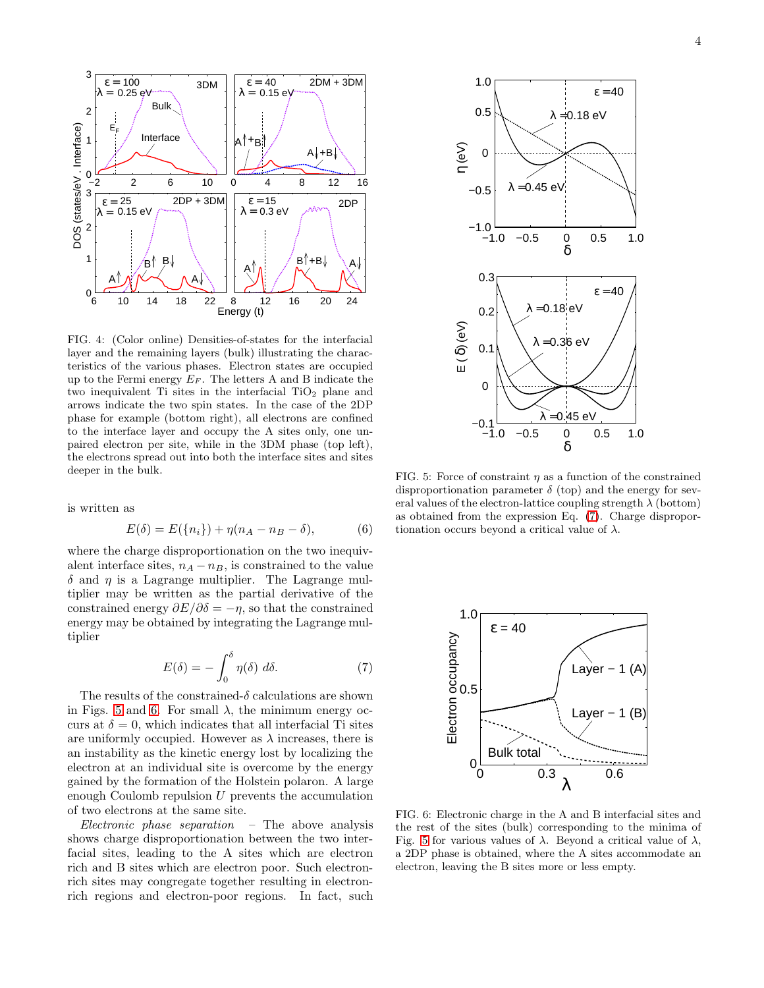

<span id="page-3-0"></span>FIG. 4: (Color online) Densities-of-states for the interfacial layer and the remaining layers (bulk) illustrating the characteristics of the various phases. Electron states are occupied up to the Fermi energy  $E_F$ . The letters A and B indicate the two inequivalent Ti sites in the interfacial  $TiO<sub>2</sub>$  plane and arrows indicate the two spin states. In the case of the 2DP phase for example (bottom right), all electrons are confined to the interface layer and occupy the A sites only, one unpaired electron per site, while in the 3DM phase (top left), the electrons spread out into both the interface sites and sites deeper in the bulk.

is written as

$$
E(\delta) = E({ni}) + \eta(nA - nB - \delta),
$$
 (6)

where the charge disproportionation on the two inequivalent interface sites,  $n_A - n_B$ , is constrained to the value  $\delta$  and  $\eta$  is a Lagrange multiplier. The Lagrange multiplier may be written as the partial derivative of the constrained energy  $\partial E/\partial \delta = -\eta$ , so that the constrained energy may be obtained by integrating the Lagrange multiplier

<span id="page-3-3"></span>
$$
E(\delta) = -\int_0^{\delta} \eta(\delta) \ d\delta. \tag{7}
$$

The results of the constrained- $\delta$  calculations are shown in Figs. [5](#page-3-1) and [6.](#page-3-2) For small  $\lambda$ , the minimum energy occurs at  $\delta = 0$ , which indicates that all interfacial Ti sites are uniformly occupied. However as  $\lambda$  increases, there is an instability as the kinetic energy lost by localizing the electron at an individual site is overcome by the energy gained by the formation of the Holstein polaron. A large enough Coulomb repulsion  $U$  prevents the accumulation of two electrons at the same site.

*Electronic phase separation* – The above analysis shows charge disproportionation between the two interfacial sites, leading to the A sites which are electron rich and B sites which are electron poor. Such electronrich sites may congregate together resulting in electronrich regions and electron-poor regions. In fact, such



<span id="page-3-1"></span>FIG. 5: Force of constraint  $\eta$  as a function of the constrained disproportionation parameter  $\delta$  (top) and the energy for several values of the electron-lattice coupling strength  $\lambda$  (bottom) as obtained from the expression Eq. [\(7\)](#page-3-3). Charge disproportionation occurs beyond a critical value of  $\lambda$ .



<span id="page-3-2"></span>FIG. 6: Electronic charge in the A and B interfacial sites and the rest of the sites (bulk) corresponding to the minima of Fig. [5](#page-3-1) for various values of  $\lambda$ . Beyond a critical value of  $\lambda$ , a 2DP phase is obtained, where the A sites accommodate an electron, leaving the B sites more or less empty.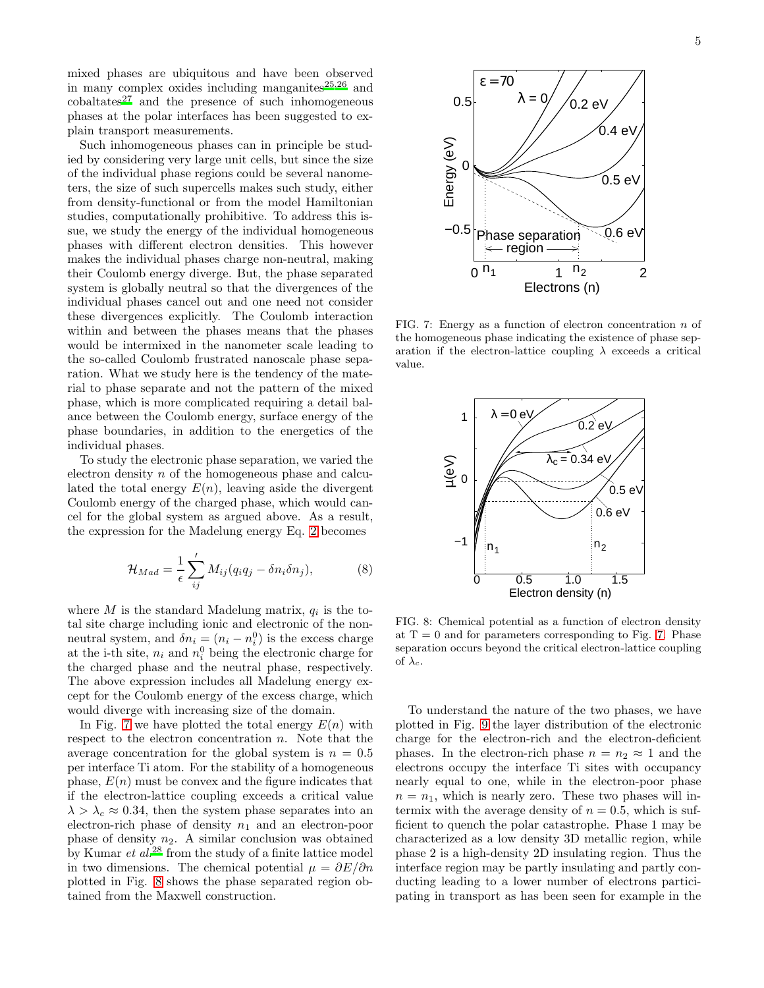mixed phases are ubiquitous and have been observed in many complex oxides including manganites $^{25,26}$  $^{25,26}$  $^{25,26}$  $^{25,26}$  and  $\text{cobaltates}^{27}$  $\text{cobaltates}^{27}$  $\text{cobaltates}^{27}$  and the presence of such inhomogeneous phases at the polar interfaces has been suggested to explain transport measurements.

Such inhomogeneous phases can in principle be studied by considering very large unit cells, but since the size of the individual phase regions could be several nanometers, the size of such supercells makes such study, either from density-functional or from the model Hamiltonian studies, computationally prohibitive. To address this issue, we study the energy of the individual homogeneous phases with different electron densities. This however makes the individual phases charge non-neutral, making their Coulomb energy diverge. But, the phase separated system is globally neutral so that the divergences of the individual phases cancel out and one need not consider these divergences explicitly. The Coulomb interaction within and between the phases means that the phases would be intermixed in the nanometer scale leading to the so-called Coulomb frustrated nanoscale phase separation. What we study here is the tendency of the material to phase separate and not the pattern of the mixed phase, which is more complicated requiring a detail balance between the Coulomb energy, surface energy of the phase boundaries, in addition to the energetics of the individual phases.

To study the electronic phase separation, we varied the electron density n of the homogeneous phase and calculated the total energy  $E(n)$ , leaving aside the divergent Coulomb energy of the charged phase, which would cancel for the global system as argued above. As a result, the expression for the Madelung energy Eq. [2](#page-0-0) becomes

$$
\mathcal{H}_{Mad} = \frac{1}{\epsilon} \sum_{ij}^{\prime} M_{ij} (q_i q_j - \delta n_i \delta n_j), \tag{8}
$$

where  $M$  is the standard Madelung matrix,  $q_i$  is the total site charge including ionic and electronic of the nonneutral system, and  $\delta n_i = (n_i - n_i^0)$  is the excess charge at the i-th site,  $n_i$  and  $n_i^0$  being the electronic charge for the charged phase and the neutral phase, respectively. The above expression includes all Madelung energy except for the Coulomb energy of the excess charge, which would diverge with increasing size of the domain.

In Fig. [7](#page-4-0) we have plotted the total energy  $E(n)$  with respect to the electron concentration  $n$ . Note that the average concentration for the global system is  $n = 0.5$ per interface Ti atom. For the stability of a homogeneous phase,  $E(n)$  must be convex and the figure indicates that if the electron-lattice coupling exceeds a critical value  $\lambda > \lambda_c \approx 0.34$ , then the system phase separates into an electron-rich phase of density  $n_1$  and an electron-poor phase of density  $n_2$ . A similar conclusion was obtained by Kumar  $et al.<sup>28</sup>$  $et al.<sup>28</sup>$  $et al.<sup>28</sup>$  from the study of a finite lattice model in two dimensions. The chemical potential  $\mu = \partial E / \partial n$ plotted in Fig. [8](#page-4-1) shows the phase separated region obtained from the Maxwell construction.



<span id="page-4-0"></span>FIG. 7: Energy as a function of electron concentration  $n$  of the homogeneous phase indicating the existence of phase separation if the electron-lattice coupling  $\lambda$  exceeds a critical value.



<span id="page-4-1"></span>FIG. 8: Chemical potential as a function of electron density at  $T = 0$  and for parameters corresponding to Fig. [7.](#page-4-0) Phase separation occurs beyond the critical electron-lattice coupling of  $\lambda_c$ .

To understand the nature of the two phases, we have plotted in Fig. [9](#page-5-0) the layer distribution of the electronic charge for the electron-rich and the electron-deficient phases. In the electron-rich phase  $n = n_2 \approx 1$  and the electrons occupy the interface Ti sites with occupancy nearly equal to one, while in the electron-poor phase  $n = n_1$ , which is nearly zero. These two phases will intermix with the average density of  $n = 0.5$ , which is sufficient to quench the polar catastrophe. Phase 1 may be characterized as a low density 3D metallic region, while phase 2 is a high-density 2D insulating region. Thus the interface region may be partly insulating and partly conducting leading to a lower number of electrons participating in transport as has been seen for example in the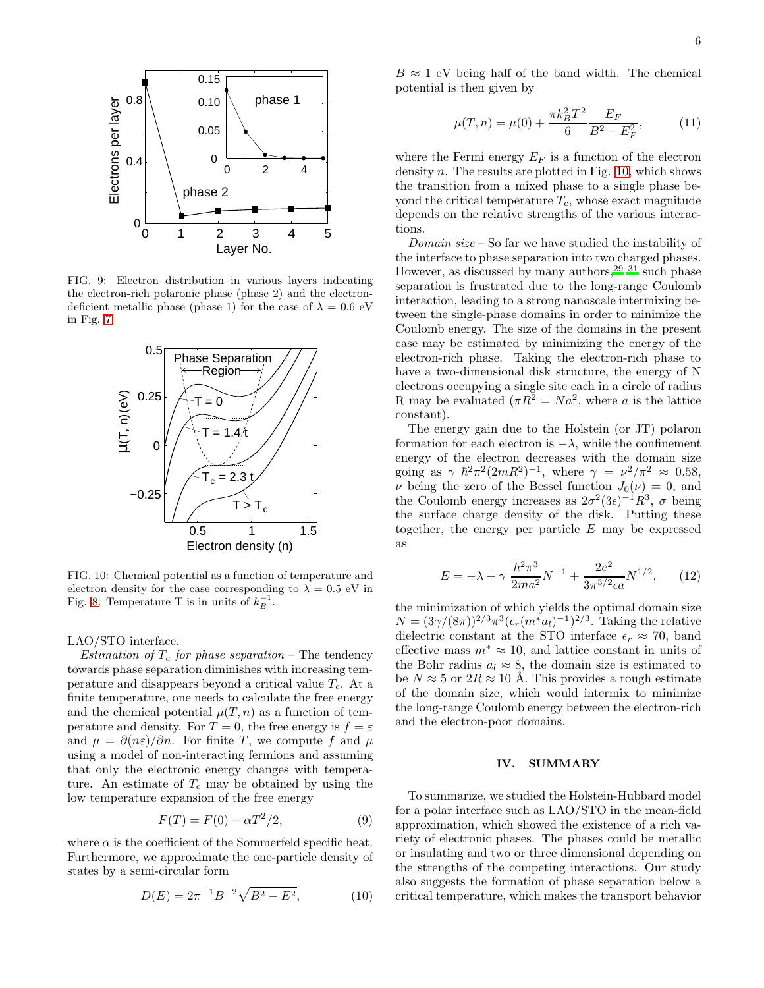

FIG. 9: Electron distribution in various layers indicating the electron-rich polaronic phase (phase 2) and the electrondeficient metallic phase (phase 1) for the case of  $\lambda = 0.6$  eV in Fig. [7.](#page-4-0)

<span id="page-5-0"></span>

<span id="page-5-1"></span>FIG. 10: Chemical potential as a function of temperature and electron density for the case corresponding to  $\lambda = 0.5$  eV in Fig. [8.](#page-4-1) Temperature T is in units of  $k_B^{-1}$ .

#### LAO/STO interface.

Estimation of  $T_c$  for phase separation – The tendency towards phase separation diminishes with increasing temperature and disappears beyond a critical value  $T_c$ . At a finite temperature, one needs to calculate the free energy and the chemical potential  $\mu(T, n)$  as a function of temperature and density. For  $T = 0$ , the free energy is  $f = \varepsilon$ and  $\mu = \partial(n\varepsilon)/\partial n$ . For finite T, we compute f and  $\mu$ using a model of non-interacting fermions and assuming that only the electronic energy changes with temperature. An estimate of  $T_c$  may be obtained by using the low temperature expansion of the free energy

$$
F(T) = F(0) - \alpha T^2/2,\tag{9}
$$

where  $\alpha$  is the coefficient of the Sommerfeld specific heat. Furthermore, we approximate the one-particle density of states by a semi-circular form

$$
D(E) = 2\pi^{-1}B^{-2}\sqrt{B^2 - E^2},\tag{10}
$$

 $B \approx 1$  eV being half of the band width. The chemical potential is then given by

$$
\mu(T, n) = \mu(0) + \frac{\pi k_B^2 T^2}{6} \frac{E_F}{B^2 - E_F^2},\tag{11}
$$

where the Fermi energy  $E_F$  is a function of the electron density  $n$ . The results are plotted in Fig. [10,](#page-5-1) which shows the transition from a mixed phase to a single phase beyond the critical temperature  $T_c$ , whose exact magnitude depends on the relative strengths of the various interactions.

Domain size – So far we have studied the instability of the interface to phase separation into two charged phases. However, as discussed by many authors,  $29-31$  $29-31$  such phase separation is frustrated due to the long-range Coulomb interaction, leading to a strong nanoscale intermixing between the single-phase domains in order to minimize the Coulomb energy. The size of the domains in the present case may be estimated by minimizing the energy of the electron-rich phase. Taking the electron-rich phase to have a two-dimensional disk structure, the energy of N electrons occupying a single site each in a circle of radius R may be evaluated  $(\pi R^2 = Na^2$ , where a is the lattice constant).

The energy gain due to the Holstein (or JT) polaron formation for each electron is  $-\lambda$ , while the confinement energy of the electron decreases with the domain size going as  $\gamma \hbar^2 \pi^2 (2mR^2)^{-1}$ , where  $\gamma = \nu^2/\pi^2 \approx 0.58$ ,  $\nu$  being the zero of the Bessel function  $J_0(\nu) = 0$ , and the Coulomb energy increases as  $2\sigma^2(3\epsilon)^{-1}\mathbb{R}^3$ ,  $\sigma$  being the surface charge density of the disk. Putting these together, the energy per particle  $E$  may be expressed as

$$
E = -\lambda + \gamma \frac{\hbar^2 \pi^3}{2ma^2} N^{-1} + \frac{2e^2}{3\pi^{3/2} \epsilon a} N^{1/2}, \qquad (12)
$$

the minimization of which yields the optimal domain size  $N = (3\gamma/(8\pi))^{2/3} \pi^3 (\epsilon_r(m^*a_l)^{-1})^{2/3}$ . Taking the relative dielectric constant at the STO interface  $\epsilon_r \approx 70$ , band effective mass  $m^* \approx 10$ , and lattice constant in units of the Bohr radius  $a_l \approx 8$ , the domain size is estimated to be  $N \approx 5$  or  $2R \approx 10$  Å. This provides a rough estimate of the domain size, which would intermix to minimize the long-range Coulomb energy between the electron-rich and the electron-poor domains.

### IV. SUMMARY

To summarize, we studied the Holstein-Hubbard model for a polar interface such as LAO/STO in the mean-field approximation, which showed the existence of a rich variety of electronic phases. The phases could be metallic or insulating and two or three dimensional depending on the strengths of the competing interactions. Our study also suggests the formation of phase separation below a critical temperature, which makes the transport behavior